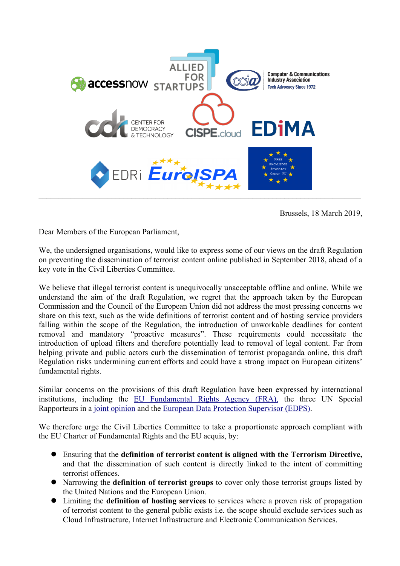

Brussels, 18 March 2019,

Dear Members of the European Parliament,

We, the undersigned organisations, would like to express some of our views on the draft Regulation on preventing the dissemination of terrorist content online published in September 2018, ahead of a key vote in the Civil Liberties Committee.

We believe that illegal terrorist content is unequivocally unacceptable offline and online. While we understand the aim of the draft Regulation, we regret that the approach taken by the European Commission and the Council of the European Union did not address the most pressing concerns we share on this text, such as the wide definitions of terrorist content and of hosting service providers falling within the scope of the Regulation, the introduction of unworkable deadlines for content removal and mandatory "proactive measures". These requirements could necessitate the introduction of upload filters and therefore potentially lead to removal of legal content. Far from helping private and public actors curb the dissemination of terrorist propaganda online, this draft Regulation risks undermining current efforts and could have a strong impact on European citizens' fundamental rights.

Similar concerns on the provisions of this draft Regulation have been expressed by international institutions, including the EU Fundamental Rights Agency (FRA), the three UN Special Rapporteurs in a joint opinion and the European Data Protection Supervisor (EDPS).

We therefore urge the Civil Liberties Committee to take a proportionate approach compliant with the EU Charter of Fundamental Rights and the EU acquis, by:

- l Ensuring that the **definition of terrorist content is aligned with the Terrorism Directive,** and that the dissemination of such content is directly linked to the intent of committing terrorist offences.
- **•** Narrowing the **definition of terrorist groups** to cover only those terrorist groups listed by the United Nations and the European Union.
- l Limiting the **definition of hosting services** to services where a proven risk of propagation of terrorist content to the general public exists i.e. the scope should exclude services such as Cloud Infrastructure, Internet Infrastructure and Electronic Communication Services.